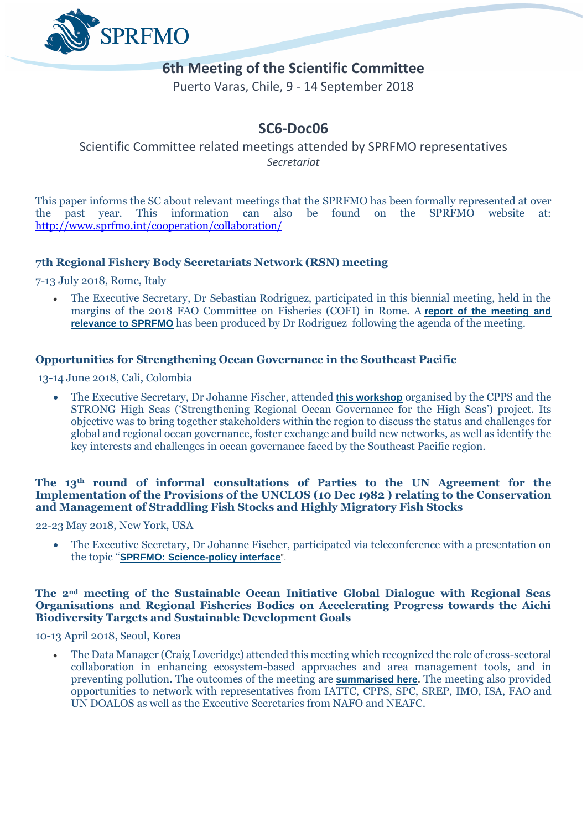

# **6th Meeting of the Scientific Committee**

Puerto Varas, Chile, 9 - 14 September 2018

# **SC6-Doc06**

Scientific Committee related meetings attended by SPRFMO representatives *Secretariat*

This paper informs the SC about relevant meetings that the SPRFMO has been formally represented at over the past year. This information can also be found on the SPRFMO website at: <http://www.sprfmo.int/cooperation/collaboration/>

## **7th Regional Fishery Body Secretariats Network (RSN) meeting**

7-13 July 2018, Rome, Italy

• The Executive Secretary, Dr Sebastian Rodriguez, participated in this biennial meeting, held in the margins of the 2018 FAO Committee on Fisheries (COFI) in Rome. A **[report of the meeting and](http://www.sprfmo.int/assets/Cooperation-with-others/External-Meeting-and-Activity-Reports/SPRFMO-participation-at-7RSN-Report.pdf)  [relevance to SPRFMO](http://www.sprfmo.int/assets/Cooperation-with-others/External-Meeting-and-Activity-Reports/SPRFMO-participation-at-7RSN-Report.pdf)** has been produced by Dr Rodriguez following the agenda of the meeting.

## **Opportunities for [Strengthening Ocean Governance in the Southeast Pacific](https://www.iass-potsdam.de/de/veranstaltungen/workshop-opportunities-strengthening-ocean-governance-southeast-pacific)**

13-14 June 2018, Cali, Colombia

• The Executive Secretary, Dr Johanne Fischer, attended **[this workshop](https://www.prog-ocean.org/opportunities-for-strengthening-ocean-governance-in-the-southeast-pacific-strong-high-seas-dialogue-workshop-1/)** organised by the CPPS and the STRONG High Seas ('Strengthening Regional Ocean Governance for the High Seas') project. Its objective was to bring together stakeholders within the region to discuss the status and challenges for global and regional ocean governance, foster exchange and build new networks, as well as identify the key interests and challenges in ocean governance faced by the Southeast Pacific region.

### **The 13th [round of informal consultations of Parties to the UN](http://www.un.org/depts/los/convention_agreements/fish_stocks_agreement_states_parties.htm) Agreement for the [Implementation of the Provisions of the UNCLOS \(10 Dec](http://www.un.org/depts/los/convention_agreements/fish_stocks_agreement_states_parties.htm) 1982 ) relating to the Conservation [and Management of Straddling Fish Stocks and Highly Migratory Fish Stocks](http://www.un.org/depts/los/convention_agreements/fish_stocks_agreement_states_parties.htm)**

22-23 May 2018, New York, USA

• The Executive Secretary, Dr Johanne Fischer, participated via teleconference with a presentation on the topic "**[SPRFMO: Science-policy interface](http://www.un.org/depts/los/convention_agreements/ICSP13/ICSP13_list_of_abstracts.pdf)**".

### **The 2nd meeting of the Sustainable Ocean Initiative Global Dialogue with Regional Seas Organisations and Regional Fisheries Bodies on Accelerating Progress towards the Aichi Biodiversity Targets and Sustainable Development Goals**

10-13 April 2018, Seoul, Korea

• The Data Manager (Craig Loveridge) attended this meeting which recognized the role of cross-sectoral collaboration in enhancing ecosystem-based approaches and area management tools, and in preventing pollution. The outcomes of the meeting are **[summarised](http://enb.iisd.org/download/pdf/sd/enbplus186num11e.pdf) here**. The meeting also provided opportunities to network with representatives from IATTC, CPPS, SPC, SREP, IMO, ISA, FAO and UN DOALOS as well as the Executive Secretaries from NAFO and NEAFC.